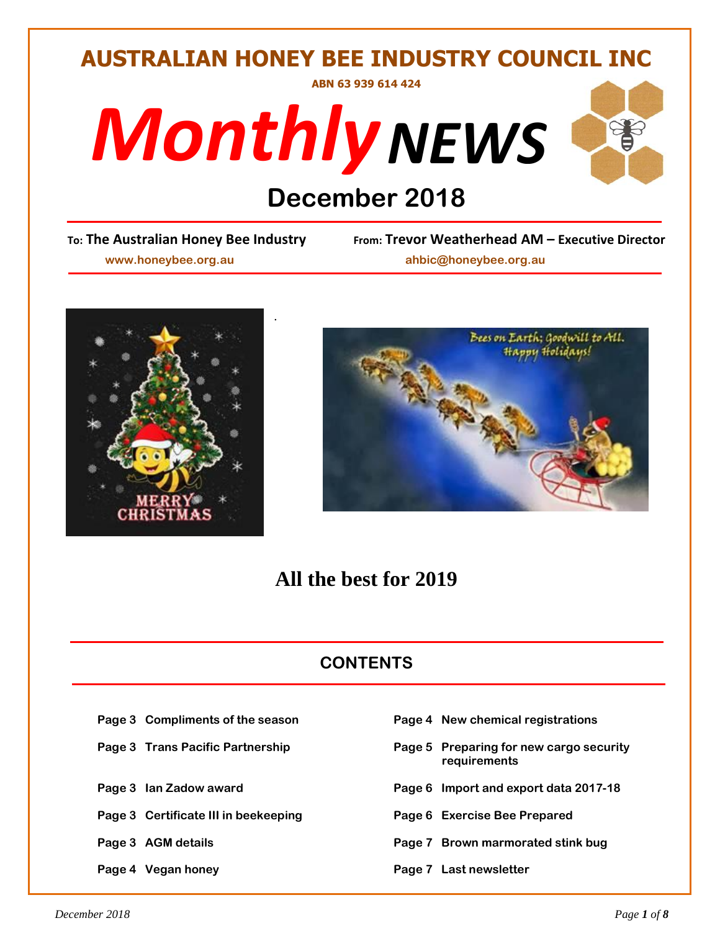# **AUSTRALIAN HONEY BEE INDUSTRY COUNCIL INC**



*.*



# **December 2018**<br> **December 2018**<br> **Expon: Trevor Weatl**

**To: The Australian Honey Bee Industry From: Trevor Weatherhead AM – Executive Director www.honeybee.org.au ahbic@honeybee.org.au**





# **All the best for 2019**

# **CONTENTS**

| Page 3 Compliments of the season |
|----------------------------------|
|----------------------------------|

- **Page 3 Trans Pacific Partnership**
- **Page 3 Ian Zadow award**
- **Page 3 Certificate III in beekeeping**
- **Page 3 AGM details**
- **Page 4 Vegan honey**

| Page 3 Compliments of the season     | Page 4 New chemical registrations                       |
|--------------------------------------|---------------------------------------------------------|
| Page 3 Trans Pacific Partnership     | Page 5 Preparing for new cargo security<br>requirements |
| Page 3 Ian Zadow award               | Page 6 Import and export data 2017-18                   |
| Page 3 Certificate III in beekeeping | Page 6 Exercise Bee Prepared                            |
| Page 3 AGM details                   | Page 7 Brown marmorated stink bug                       |
| Page 4 Vegan honey                   | Page 7 Last newsletter                                  |
|                                      |                                                         |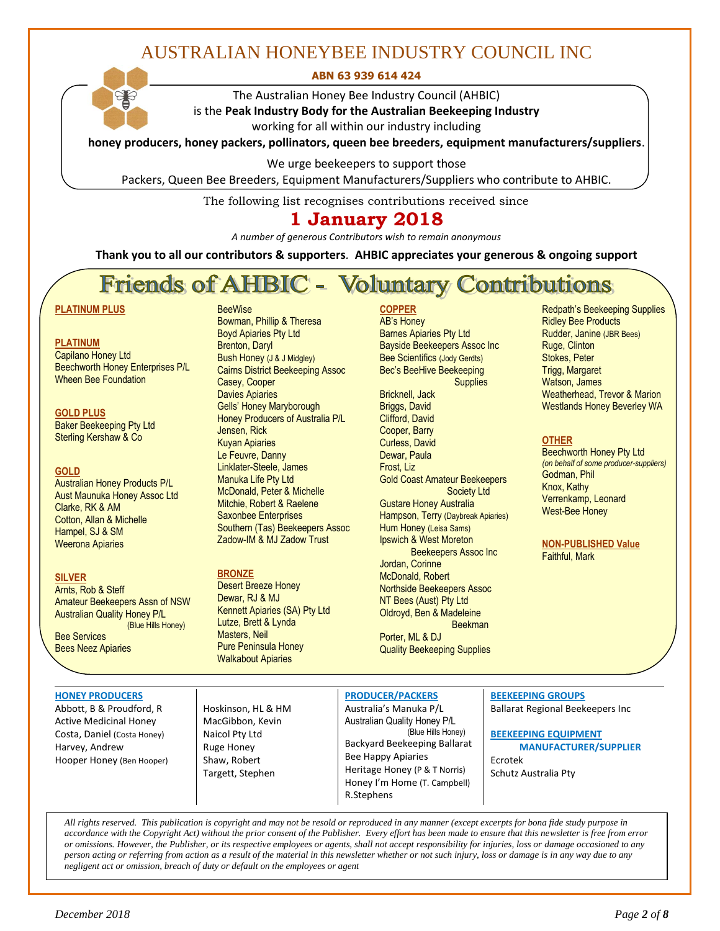# AUSTRALIAN HONEYBEE INDUSTRY COUNCIL INC

# **ABN 63 939 614 424**

The Australian Honey Bee Industry Council (AHBIC)

is the **Peak Industry Body for the Australian Beekeeping Industry**

working for all within our industry including

**honey producers, honey packers, pollinators, queen bee breeders, equipment manufacturers/suppliers**.

We urge beekeepers to support those

Packers, Queen Bee Breeders, Equipment Manufacturers/Suppliers who contribute to AHBIC.

The following list recognises contributions received since

# **1 January 2018**

*A number of generous Contributors wish to remain anonymous*

**Thank you to all our contributors & supporters***.* **AHBIC appreciates your generous & ongoing support**

#### **Voluntary Contributions Friends of AHBIC**  $\sim$

#### **PLATINUM PLUS**

#### **PLATINUM**

Capilano Honey Ltd Beechworth Honey Enterprises P/L Wheen Bee Foundation

#### **GOLD PLUS**

Baker Beekeeping Pty Ltd Sterling Kershaw & Co

#### **GOLD**

Australian Honey Products P/L Aust Maunuka Honey Assoc Ltd Clarke, RK & AM Cotton, Allan & Michelle Hampel, SJ & SM Weerona Apiaries

#### **SILVER**

Arnts, Rob & Steff Amateur Beekeepers Assn of NSW Australian Quality Honey P/L (Blue Hills Honey)

Bee Services Bees Neez Apiaries

#### **HONEY PRODUCERS**

Abbott, B & Proudford, R Active Medicinal Honey Costa, Daniel (Costa Honey) Harvey, Andrew Hooper Honey (Ben Hooper) Bowman, Phillip & Theresa Boyd Apiaries Pty Ltd Brenton, Daryl Bush Honey (J & J Midgley) Cairns District Beekeeping Assoc Casey, Cooper Davies Apiaries Gells' Honey Maryborough Honey Producers of Australia P/L Jensen, Rick Kuyan Apiaries Le Feuvre, Danny Linklater-Steele, James Manuka Life Pty Ltd McDonald, Peter & Michelle Mitchie, Robert & Raelene Saxonbee Enterprises Southern (Tas) Beekeepers Assoc Zadow-IM & MJ Zadow Trust

#### **BRONZE**

BeeWise

Desert Breeze Honey Dewar, RJ & MJ Kennett Apiaries (SA) Pty Ltd Lutze, Brett & Lynda Masters, Neil Pure Peninsula Honey Walkabout Apiaries

Hoskinson, HL & HM MacGibbon, Kevin Naicol Pty Ltd Ruge Honey Shaw, Robert Targett, Stephen

#### **COPPER** AB's Honey

Barnes Apiaries Pty Ltd Bayside Beekeepers Assoc Inc Bee Scientifics (Jody Gerdts) Bec's BeeHive Beekeeping **Supplies** 

Bricknell, Jack Briggs, David Clifford, David Cooper, Barry Curless, David Dewar, Paula Frost, Liz Gold Coast Amateur Beekeepers Society Ltd Gustare Honey Australia Hampson, Terry (Daybreak Apiaries) Hum Honey (Leisa Sams) Ipswich & West Moreton Beekeepers Assoc Inc Jordan, Corinne McDonald, Robert Northside Beekeepers Assoc NT Bees (Aust) Pty Ltd Oldroyd, Ben & Madeleine Beekman Porter, ML & DJ

Quality Beekeeping Supplies

(Blue Hills Honey)

**PRODUCER/PACKERS** Australia's Manuka P/L Australian Quality Honey P/L

Bee Happy Apiaries Heritage Honey (P & T Norris) Honey I'm Home (T. Campbell)

Backyard Beekeeping Ballarat

#### Redpath's Beekeeping Supplies Ridley Bee Products Rudder, Janine (JBR Bees) Ruge, Clinton Stokes, Peter Trigg, Margaret Watson, James Weatherhead, Trevor & Marion Westlands Honey Beverley WA

#### **OTHER**

Beechworth Honey Pty Ltd *(on behalf of some producer-suppliers)* Godman, Phil Knox, Kathy Verrenkamp, Leonard West-Bee Honey

**NON-PUBLISHED Value** Faithful, Mark

**BEEKEEPING GROUPS** Ballarat Regional Beekeepers Inc

#### **BEEKEEPING EQUIPMENT MANUFACTURER/SUPPLIER**

Ecrotek Schutz Australia Pty

 *All rights reserved. This publication is copyright and may not be resold or reproduced in any manner (except excerpts for bona fide study purpose in accordance with the Copyright Act) without the prior consent of the Publisher. Every effort has been made to ensure that this newsletter is free from error or omissions. However, the Publisher, or its respective employees or agents, shall not accept responsibility for injuries, loss or damage occasioned to any person acting or referring from action as a result of the material in this newsletter whether or not such injury, loss or damage is in any way due to any negligent act or omission, breach of duty or default on the employees or agent*

R.Stephens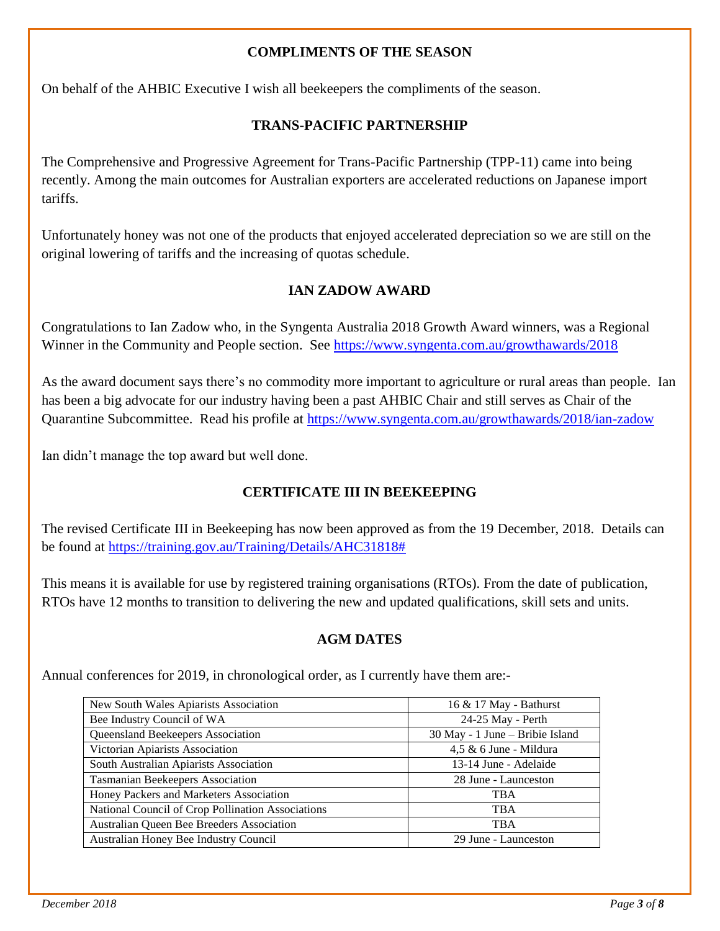# **COMPLIMENTS OF THE SEASON**

On behalf of the AHBIC Executive I wish all beekeepers the compliments of the season.

# **TRANS-PACIFIC PARTNERSHIP**

The Comprehensive and Progressive Agreement for Trans-Pacific Partnership (TPP-11) came into being recently. Among the main outcomes for Australian exporters are accelerated reductions on Japanese import tariffs.

Unfortunately honey was not one of the products that enjoyed accelerated depreciation so we are still on the original lowering of tariffs and the increasing of quotas schedule.

# **IAN ZADOW AWARD**

Congratulations to Ian Zadow who, in the Syngenta Australia 2018 Growth Award winners, was a Regional Winner in the Community and People section. See<https://www.syngenta.com.au/growthawards/2018>

As the award document says there's no commodity more important to agriculture or rural areas than people. Ian has been a big advocate for our industry having been a past AHBIC Chair and still serves as Chair of the Quarantine Subcommittee. Read his profile at<https://www.syngenta.com.au/growthawards/2018/ian-zadow>

Ian didn't manage the top award but well done.

# **CERTIFICATE III IN BEEKEEPING**

The revised Certificate III in Beekeeping has now been approved as from the 19 December, 2018. Details can be found at [https://training.gov.au/Training/Details/AHC31818#](https://training.gov.au/Training/Details/AHC31818)

This means it is available for use by registered training organisations (RTOs). From the date of publication, RTOs have 12 months to transition to delivering the new and updated qualifications, skill sets and units.

# **AGM DATES**

Annual conferences for 2019, in chronological order, as I currently have them are:-

| New South Wales Apiarists Association             | 16 & 17 May - Bathurst          |
|---------------------------------------------------|---------------------------------|
| Bee Industry Council of WA                        | 24-25 May - Perth               |
| Queensland Beekeepers Association                 | 30 May - 1 June – Bribie Island |
| Victorian Apiarists Association                   | $4.5 \& 6$ June - Mildura       |
| South Australian Apiarists Association            | 13-14 June - Adelaide           |
| Tasmanian Beekeepers Association                  | 28 June - Launceston            |
| Honey Packers and Marketers Association           | <b>TBA</b>                      |
| National Council of Crop Pollination Associations | <b>TBA</b>                      |
| Australian Queen Bee Breeders Association         | <b>TBA</b>                      |
| Australian Honey Bee Industry Council             | 29 June - Launceston            |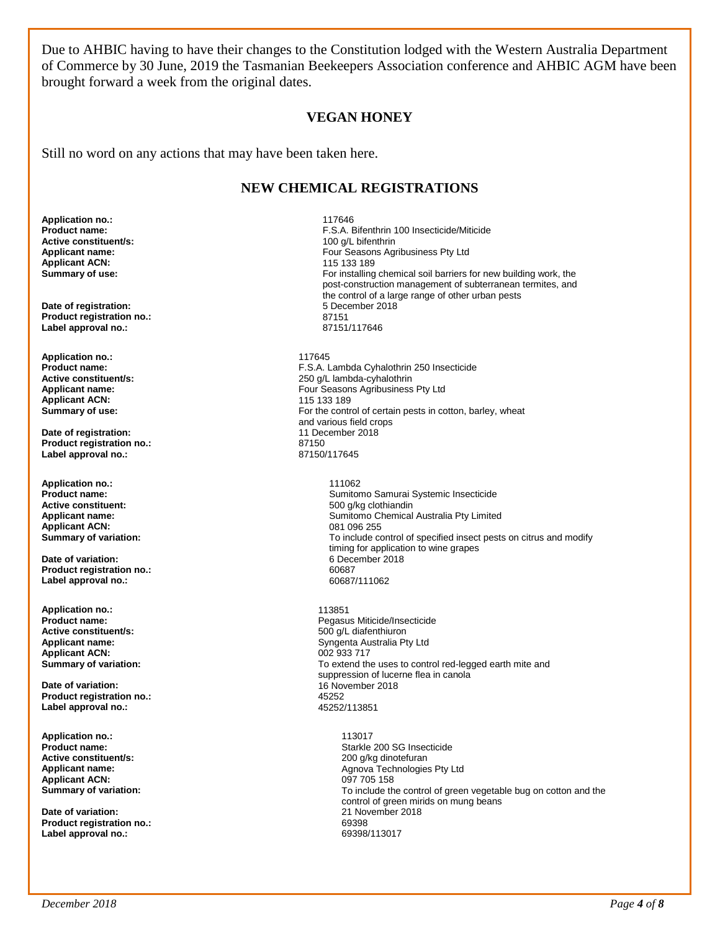Due to AHBIC having to have their changes to the Constitution lodged with the Western Australia Department of Commerce by 30 June, 2019 the Tasmanian Beekeepers Association conference and AHBIC AGM have been brought forward a week from the original dates.

## **VEGAN HONEY**

Still no word on any actions that may have been taken here.

## **NEW CHEMICAL REGISTRATIONS**

**Application no.:** 117646 **Active constituent/s:**<br>Applicant name: **Applicant ACN:**<br>Summary of use:

**Date of registration:** 5 December 2018 10:30 December 2018 10:41 December 2018 10:41 December 2018 10:41 December 2018 10:41 December 2018 10:41 December 2018 10:41 December 2018 10:41 December 2018 10:41 December 2018 10 **Product registration no.:** 87151 Label approval no.:

**Application no.:**  $117645$ <br>**Product name:** E.S.A. L **Applicant ACN:**<br>Summary of use:

**Date of registration:** 11 December 2018 11 December 2018 11 December 2018 11 December 2018 11 December 2018 12:150 **Product registration no.:** 87150 Label approval no.:

**Application no.:** 111062 **Active constituent:** 500 g/kg clothiandin **Applicant ACN:**<br>Summary of variation:

**Date of variation: Product registration no.:** 60687 **Label approval no.:** 

**Application no.:** 113851<br> **Product name:** 2020 **Product name:** 2020 **Product name:** 2020 **Active constituent/s:** <br>**Applicant name:** <br>**Applicant name:** <br>**Syngenta Australia Pt Applicant ACN:**<br>Summary of variation:

**Date of variation: Date of variation: 16 November 2018**<br> **Product registration no: 16 November 2018 Product registration no.: Label approval no.:** 45252/113851

**Application no.:** 113017 **Applicant ACN:**<br>Summary of variation:

**Date of variation:** 21 November 2018 **Product registration no.:** 69398 **Label approval no.:** 

F.S.A. Bifenthrin 100 Insecticide/Miticide<br>100 g/L bifenthrin Four Seasons Agribusiness Pty Ltd 115 133 189 For installing chemical soil barriers for new building work, the post-construction management of subterranean termites, and the control of a large range of other urban pests<br>5 December 2018

**Product name: Product name: Product name: Product name: Product name: Product name: Product name: Product name: Product name: Product name: Product name: Product name: Product name: Product name: Active constituent/s:** <br> **Applicant name:** <br> **Applicant name:** <br> **Applicant name:** <br> **Cour Seasons Agribusiness** Four Seasons Agribusiness Pty Ltd<br>115 133 189 For the control of certain pests in cotton, barley, wheat and various field crops<br>11 December 2018

**Product name: Product name: Sumitomo Samurai Systemic Insecticide**<br> **Active constituent: S00 a/kg** clothiandin Sumitomo Chemical Australia Pty Limited<br>081 096 255 To include control of specified insect pests on citrus and modify timing for application to wine grapes<br>6 December 2018

**Product name:** <br> **Pegasus Miticide/Insecticide**<br> **Active constituent/s:** <br> **Pegasus Miticide/Insecticide**<br> **Pegasus Miticide/Insecticide** Syngenta Australia Pty Ltd<br>002 933 717 To extend the uses to control red-legged earth mite and suppression of lucerne flea in canola

**Product name: Product name: Starkle 200 SG Insecticide**<br> **Active constituent/s:** 200 a/kg dinotefuran 200 g/kg dinotefuran **Applicant name:** <br> **Agnova Technologies Pty Ltd**<br> **Applicant ACN:** <br> **Applicant ACN:** <br> **Agnova Technologies Pty Ltd** To include the control of green vegetable bug on cotton and the control of green mirids on mung beans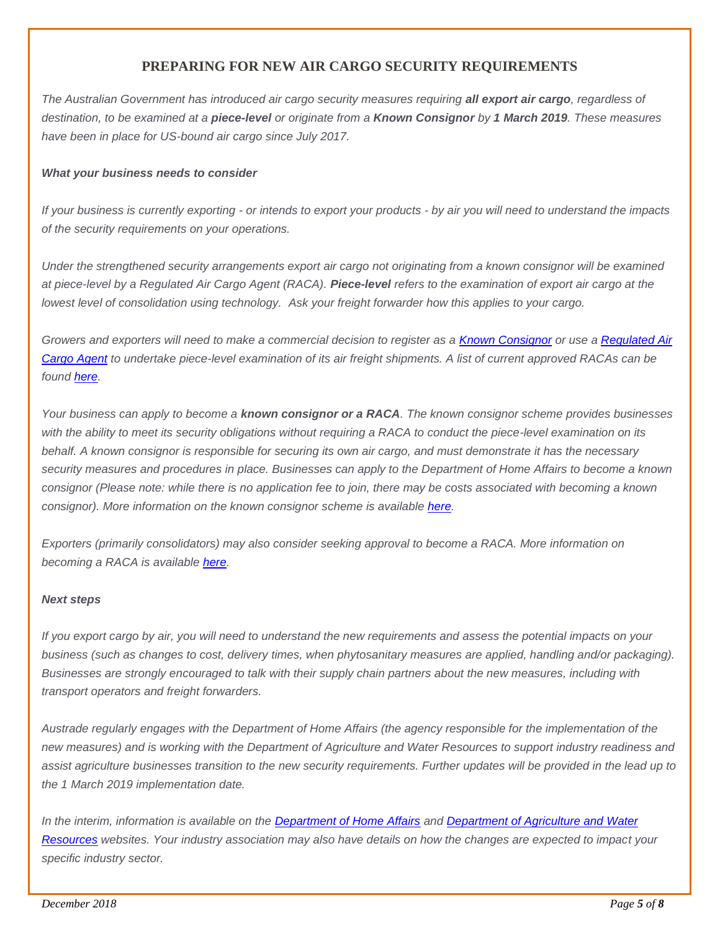# **PREPARING FOR NEW AIR CARGO SECURITY REQUIREMENTS**

*The Australian Government has introduced air cargo security measures requiring all export air cargo, regardless of destination, to be examined at a piece-level or originate from a Known Consignor by 1 March 2019. These measures have been in place for US-bound air cargo since July 2017.*

## *What your business needs to consider*

*If your business is currently exporting - or intends to export your products - by air you will need to understand the impacts of the security requirements on your operations.*

*Under the strengthened security arrangements export air cargo not originating from a known consignor will be examined at piece-level by a Regulated Air Cargo Agent (RACA). Piece-level refers to the examination of export air cargo at the lowest level of consolidation using technology. Ask your freight forwarder how this applies to your cargo.*

*Growers and exporters will need to make a commercial decision to register as a [Known Consignor](https://e.austrade.gov.au/re?l=D0Is4c6phI7tdfjmsI5) or use a [Regulated Air](https://e.austrade.gov.au/re?l=D0Is4c6phI7tdfjmsI6)  [Cargo Agent](https://e.austrade.gov.au/re?l=D0Is4c6phI7tdfjmsI6) to undertake piece-level examination of its air freight shipments. A list of current approved RACAs can be found [here.](https://e.austrade.gov.au/re?l=D0Is4c6phI7tdfjmsI7)*

*Your business can apply to become a known consignor or a RACA. The known consignor scheme provides businesses with the ability to meet its security obligations without requiring a RACA to conduct the piece-level examination on its behalf. A known consignor is responsible for securing its own air cargo, and must demonstrate it has the necessary security measures and procedures in place. Businesses can apply to the Department of Home Affairs to become a known consignor (Please note: while there is no application fee to join, there may be costs associated with becoming a known consignor). More information on the known consignor scheme is available [here.](https://e.austrade.gov.au/re?l=D0Is4c6phI7tdfjmsI8#content-index-3)*

*Exporters (primarily consolidators) may also consider seeking approval to become a RACA. More information on becoming a RACA is available [here.](https://e.austrade.gov.au/re?l=D0Is4c6phI7tdfjmsI9#content-index-2)*

## *Next steps*

*If you export cargo by air, you will need to understand the new requirements and assess the potential impacts on your business (such as changes to cost, delivery times, when phytosanitary measures are applied, handling and/or packaging). Businesses are strongly encouraged to talk with their supply chain partners about the new measures, including with transport operators and freight forwarders.* 

*Austrade regularly engages with the Department of Home Affairs (the agency responsible for the implementation of the new measures) and is working with the Department of Agriculture and Water Resources to support industry readiness and assist agriculture businesses transition to the new security requirements. Further updates will be provided in the lead up to the 1 March 2019 implementation date.*

*In the interim, information is available on the [Department of Home Affairs](https://e.austrade.gov.au/re?l=D0Is4c6phI7tdfjmsIa) and [Department of Agriculture and Water](https://e.austrade.gov.au/re?l=D0Is4c6phI7tdfjmsIb)  [Resources](https://e.austrade.gov.au/re?l=D0Is4c6phI7tdfjmsIb) websites. Your industry association may also have details on how the changes are expected to impact your specific industry sector.*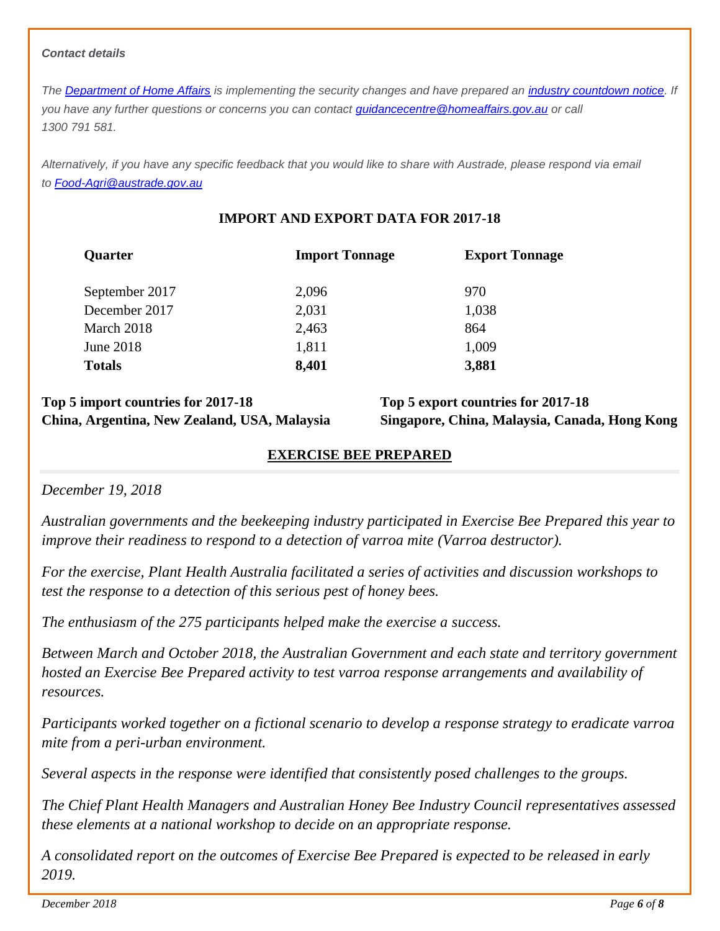## *Contact details*

*The [Department of Home Affairs](https://e.austrade.gov.au/re?l=D0Is4c6phI7tdfjmsIc) is implementing the security changes and have prepared an [industry countdown notice.](https://e.austrade.gov.au/re?l=D0Is4c6phI7tdfjmsId) If you have any further questions or concerns you can contact [guidancecentre@homeaffairs.gov.au](https://e.austrade.gov.au/re?l=D0Is4c6phI7tdfjmsIe) or call 1300 791 581.*

*Alternatively, if you have any specific feedback that you would like to share with Austrade, please respond via email to [Food-Agri@austrade.gov.au](mailto:Food-Agri@austrade.gov.au)*

# **IMPORT AND EXPORT DATA FOR 2017-18**

| <b>Quarter</b> | <b>Import Tonnage</b> | <b>Export Tonnage</b> |  |
|----------------|-----------------------|-----------------------|--|
| September 2017 | 2,096                 | 970                   |  |
| December 2017  | 2,031                 | 1,038                 |  |
| March 2018     | 2,463                 | 864                   |  |
| June 2018      | 1,811                 | 1,009                 |  |
| <b>Totals</b>  | 8,401                 | 3,881                 |  |

**Top 5 import countries for 2017-18 Top 5 export countries for 2017-18**

**China, Argentina, New Zealand, USA, Malaysia Singapore, China, Malaysia, Canada, Hong Kong**

# **EXERCISE BEE PREPARED**

*December 19, 2018*

*Australian governments and the beekeeping industry participated in Exercise Bee Prepared this year to improve their readiness to respond to a detection of [varroa mite](http://www.planthealthaustralia.com.au/pests/varroa-mite-2/) (Varroa destructor).*

*For the exercise, Plant Health Australia facilitated a series of activities and discussion workshops to test the response to a detection of this serious pest of honey bees.*

*The enthusiasm of the 275 participants helped make the exercise a success.*

*Between March and October 2018, the Australian Government and each state and territory government hosted an Exercise Bee Prepared activity to test varroa response arrangements and availability of resources.*

*Participants worked together on a fictional scenario to develop a response strategy to eradicate varroa mite from a peri-urban environment.*

*Several aspects in the response were identified that consistently posed challenges to the groups.*

*The Chief Plant Health Managers and [Australian Honey Bee Industry Council](https://honeybee.org.au/) representatives assessed these elements at a national workshop to decide on an appropriate response.*

*A consolidated report on the outcomes of Exercise Bee Prepared is expected to be released in early 2019.*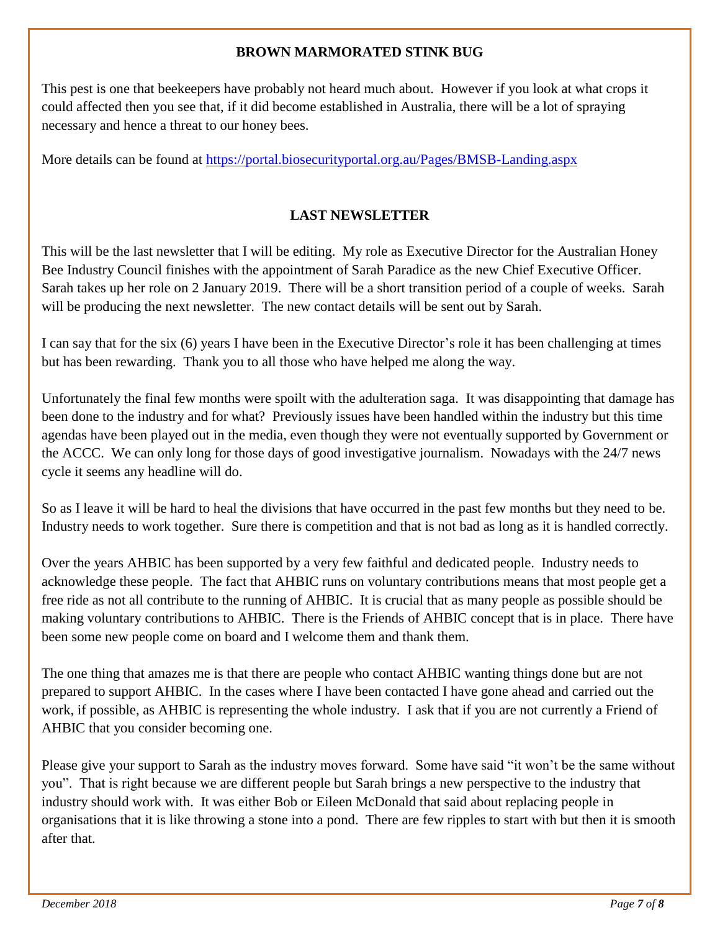# **BROWN MARMORATED STINK BUG**

This pest is one that beekeepers have probably not heard much about. However if you look at what crops it could affected then you see that, if it did become established in Australia, there will be a lot of spraying necessary and hence a threat to our honey bees.

More details can be found at<https://portal.biosecurityportal.org.au/Pages/BMSB-Landing.aspx>

# **LAST NEWSLETTER**

This will be the last newsletter that I will be editing. My role as Executive Director for the Australian Honey Bee Industry Council finishes with the appointment of Sarah Paradice as the new Chief Executive Officer. Sarah takes up her role on 2 January 2019. There will be a short transition period of a couple of weeks. Sarah will be producing the next newsletter. The new contact details will be sent out by Sarah.

I can say that for the six (6) years I have been in the Executive Director's role it has been challenging at times but has been rewarding. Thank you to all those who have helped me along the way.

Unfortunately the final few months were spoilt with the adulteration saga. It was disappointing that damage has been done to the industry and for what? Previously issues have been handled within the industry but this time agendas have been played out in the media, even though they were not eventually supported by Government or the ACCC. We can only long for those days of good investigative journalism. Nowadays with the 24/7 news cycle it seems any headline will do.

So as I leave it will be hard to heal the divisions that have occurred in the past few months but they need to be. Industry needs to work together. Sure there is competition and that is not bad as long as it is handled correctly.

Over the years AHBIC has been supported by a very few faithful and dedicated people. Industry needs to acknowledge these people. The fact that AHBIC runs on voluntary contributions means that most people get a free ride as not all contribute to the running of AHBIC. It is crucial that as many people as possible should be making voluntary contributions to AHBIC. There is the Friends of AHBIC concept that is in place. There have been some new people come on board and I welcome them and thank them.

The one thing that amazes me is that there are people who contact AHBIC wanting things done but are not prepared to support AHBIC. In the cases where I have been contacted I have gone ahead and carried out the work, if possible, as AHBIC is representing the whole industry. I ask that if you are not currently a Friend of AHBIC that you consider becoming one.

Please give your support to Sarah as the industry moves forward. Some have said "it won't be the same without you". That is right because we are different people but Sarah brings a new perspective to the industry that industry should work with. It was either Bob or Eileen McDonald that said about replacing people in organisations that it is like throwing a stone into a pond. There are few ripples to start with but then it is smooth after that.